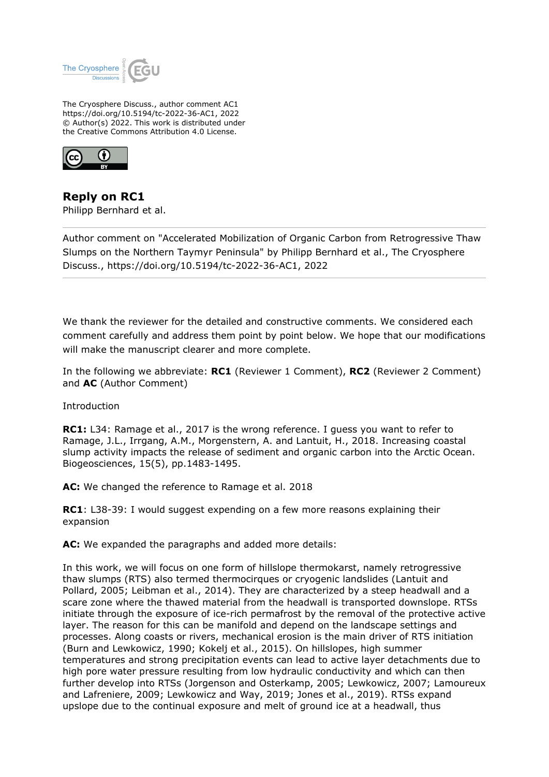

The Cryosphere Discuss., author comment AC1 https://doi.org/10.5194/tc-2022-36-AC1, 2022 © Author(s) 2022. This work is distributed under the Creative Commons Attribution 4.0 License.



**Reply on RC1** Philipp Bernhard et al.

Author comment on "Accelerated Mobilization of Organic Carbon from Retrogressive Thaw Slumps on the Northern Taymyr Peninsula" by Philipp Bernhard et al., The Cryosphere Discuss., https://doi.org/10.5194/tc-2022-36-AC1, 2022

We thank the reviewer for the detailed and constructive comments. We considered each comment carefully and address them point by point below. We hope that our modifications will make the manuscript clearer and more complete.

In the following we abbreviate: **RC1** (Reviewer 1 Comment), **RC2** (Reviewer 2 Comment) and **AC** (Author Comment)

**Introduction** 

**RC1:** L34: Ramage et al., 2017 is the wrong reference. I guess you want to refer to Ramage, J.L., Irrgang, A.M., Morgenstern, A. and Lantuit, H., 2018. Increasing coastal slump activity impacts the release of sediment and organic carbon into the Arctic Ocean. Biogeosciences, 15(5), pp.1483-1495.

**AC:** We changed the reference to Ramage et al. 2018

**RC1**: L38-39: I would suggest expending on a few more reasons explaining their expansion

**AC:** We expanded the paragraphs and added more details:

In this work, we will focus on one form of hillslope thermokarst, namely retrogressive thaw slumps (RTS) also termed thermocirques or cryogenic landslides (Lantuit and Pollard, 2005; Leibman et al., 2014). They are characterized by a steep headwall and a scare zone where the thawed material from the headwall is transported downslope. RTSs initiate through the exposure of ice-rich permafrost by the removal of the protective active layer. The reason for this can be manifold and depend on the landscape settings and processes. Along coasts or rivers, mechanical erosion is the main driver of RTS initiation (Burn and Lewkowicz, 1990; Kokelj et al., 2015). On hillslopes, high summer temperatures and strong precipitation events can lead to active layer detachments due to high pore water pressure resulting from low hydraulic conductivity and which can then further develop into RTSs (Jorgenson and Osterkamp, 2005; Lewkowicz, 2007; Lamoureux and Lafreniere, 2009; Lewkowicz and Way, 2019; Jones et al., 2019). RTSs expand upslope due to the continual exposure and melt of ground ice at a headwall, thus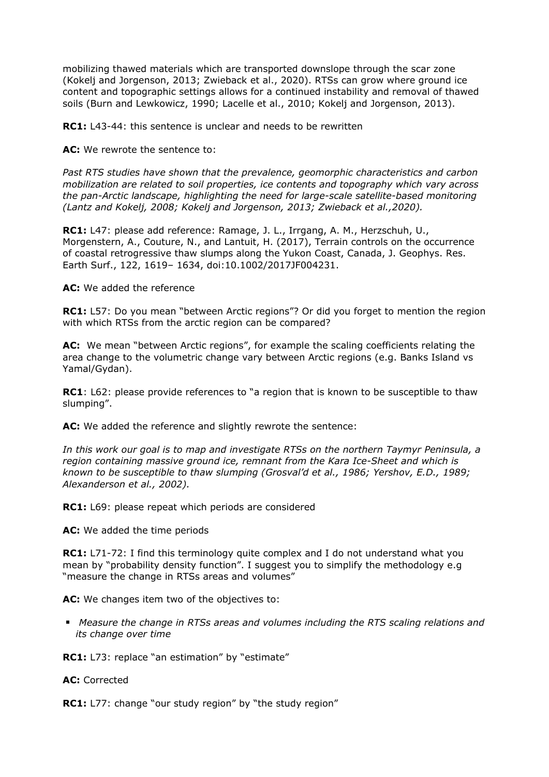mobilizing thawed materials which are transported downslope through the scar zone (Kokelj and Jorgenson, 2013; Zwieback et al., 2020). RTSs can grow where ground ice content and topographic settings allows for a continued instability and removal of thawed soils (Burn and Lewkowicz, 1990; Lacelle et al., 2010; Kokelj and Jorgenson, 2013).

**RC1:** L43-44: this sentence is unclear and needs to be rewritten

**AC:** We rewrote the sentence to:

*Past RTS studies have shown that the prevalence, geomorphic characteristics and carbon mobilization are related to soil properties, ice contents and topography which vary across the pan-Arctic landscape, highlighting the need for large-scale satellite-based monitoring (Lantz and Kokelj, 2008; Kokelj and Jorgenson, 2013; Zwieback et al.,2020).*

**RC1:** L47: please add reference: Ramage, J. L., Irrgang, A. M., Herzschuh, U., Morgenstern, A., Couture, N., and Lantuit, H. (2017), Terrain controls on the occurrence of coastal retrogressive thaw slumps along the Yukon Coast, Canada, J. Geophys. Res. Earth Surf., 122, 1619– 1634, doi:10.1002/2017JF004231.

## **AC:** We added the reference

**RC1:** L57: Do you mean "between Arctic regions"? Or did you forget to mention the region with which RTSs from the arctic region can be compared?

**AC:** We mean "between Arctic regions", for example the scaling coefficients relating the area change to the volumetric change vary between Arctic regions (e.g. Banks Island vs Yamal/Gydan).

**RC1**: L62: please provide references to "a region that is known to be susceptible to thaw slumping".

**AC:** We added the reference and slightly rewrote the sentence:

*In this work our goal is to map and investigate RTSs on the northern Taymyr Peninsula, a region containing massive ground ice, remnant from the Kara Ice-Sheet and which is known to be susceptible to thaw slumping (Grosval'd et al., 1986; Yershov, E.D., 1989; Alexanderson et al., 2002).*

**RC1:** L69: please repeat which periods are considered

**AC:** We added the time periods

**RC1:** L71-72: I find this terminology quite complex and I do not understand what you mean by "probability density function". I suggest you to simplify the methodology e.g "measure the change in RTSs areas and volumes"

**AC:** We changes item two of the objectives to:

 *Measure the change in RTSs areas and volumes including the RTS scaling relations and its change over time*

**RC1:** L73: replace "an estimation" by "estimate"

**AC:** Corrected

**RC1:** L77: change "our study region" by "the study region"